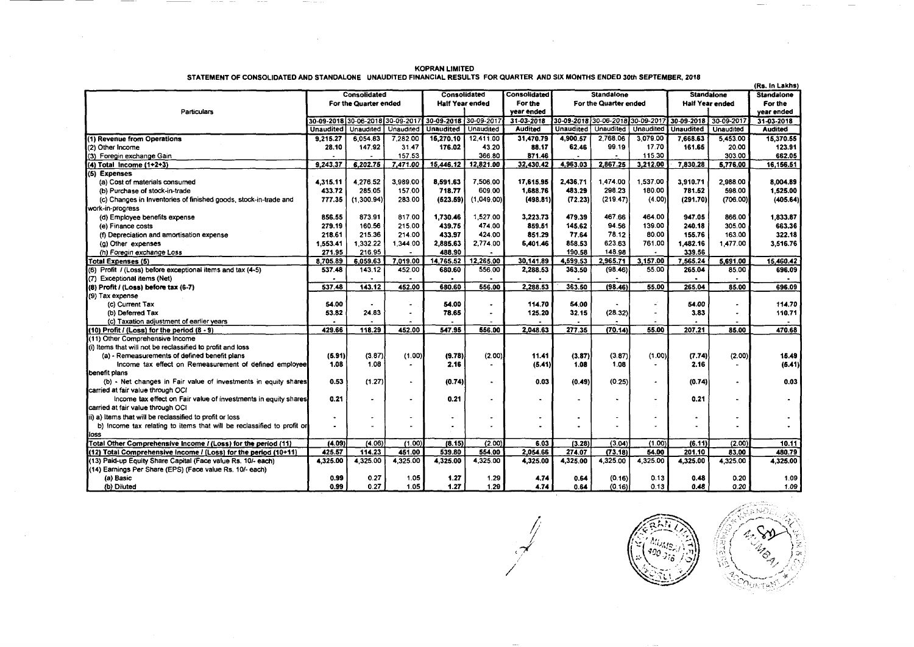|                                                                        |                     |                                  |           |                              |                  |                  |                                  |                  |                        | (Rs. In Lakhs)    |                       |                   |
|------------------------------------------------------------------------|---------------------|----------------------------------|-----------|------------------------------|------------------|------------------|----------------------------------|------------------|------------------------|-------------------|-----------------------|-------------------|
|                                                                        | <b>Consolidated</b> |                                  |           | Consolidated<br>Consolidated |                  |                  | <b>Standalone</b>                |                  |                        | <b>Standalone</b> |                       | <b>Standalone</b> |
|                                                                        |                     | For the Quarter ended            |           | <b>Half Year ended</b>       |                  | For the          | For the Quarter ended            |                  | <b>Half Year ended</b> |                   | For the               |                   |
| Particulars                                                            |                     |                                  |           |                              |                  | vear ended       |                                  |                  |                        |                   | vear ended            |                   |
|                                                                        |                     | 30-09-2018 30-06-2018 30-09-2017 |           | 30-09-2018 30-09-2017        |                  | $31 - 03 - 2018$ | 30-09-2018 30-06-2018 30-09-2017 |                  |                        |                   | 30-09-2018 30-09-2017 | 31-03-2018        |
|                                                                        | <b>Unaudited</b>    | Unaudited                        | Unaudited | <b>Unaudited</b>             | <b>Unaudited</b> | <b>Audited</b>   | <b>Unaudited</b>                 | <b>Unaudited</b> | Unaudited              | <b>Unaudited</b>  | Unaudited             | <b>Audited</b>    |
| (1) Revenue from Operations                                            | 9,215.27            | 6.054.83                         | 7.282.00  | 15,270.10                    | 12,411.00        | 31,470.79        | 4,900.57                         | 2.768.06         | 3.079.00               | 7.668.63          | 5.453.00              | 15.370.55         |
| (2) Other Income                                                       | 28.10               | 147.92                           | 31.47     | 176.02                       | 43.20            | 88.17            | 62.46                            | 99.19            | 17.70                  | 161.65            | 20.00                 | 123.91            |
| (3) Foregin exchange Gain                                              |                     |                                  | 157.53    |                              | 366.80           | 871.46           | $\blacksquare$                   | $\bullet$        | 115.30                 |                   | 303.00                | 662.05            |
| (4) Total Income (1+2+3)                                               | 9.243.37            | 6,202.75                         | 7,471.00  | 15,446.12                    | 12,821.00        | 32,430.42        | 4,963.03                         | 2,867.25         | 3,212.00               | 7,830.28          | 5,776.00              | 16,156.51         |
| (5) Expenses                                                           |                     |                                  |           |                              |                  |                  |                                  |                  |                        |                   |                       |                   |
| (a) Cost of materials consumed                                         | 4.315.11            | 4.276.52                         | 3,989.00  | 8,591.63                     | 7,506.00         | 17,615.95        | 2,436.71                         | 1.474.00         | .537.00                | 3.910.71          | 2,988.00              | 8,004.89          |
| (b) Purchase of stock-in-trade                                         | 433.72              | 285.05                           | 157.00    | 718.77                       | 609.00           | 1,688.76         | 483.29                           | 298.23           | 180.00                 | 781.52            | 598.00                | 1,525.00          |
| (c) Changes in Inventories of finished goods, stock-in-trade and       | 777.35              | (1,300.94)                       | 283.00    | (523.59)                     | (1,049.00)       | (498.81)         | (72.23)                          | (219.47)         | (4.00)                 | (291.70)          | (706.00)              | (405.64)          |
| work-in-progress                                                       |                     |                                  |           |                              |                  |                  |                                  |                  |                        |                   |                       |                   |
| (d) Employee benefits expense                                          | 856.55              | 873.91                           | 817.00    | 1,730.46                     | 1,527.00         | 3,223.73         | 479.39                           | 467.66           | 464.00                 | 947.05            | 866.00                | 1,833.87          |
| (e) Finance costs                                                      | 279.19              | 160.56                           | 215.00    | 439.75                       | 474.00           | 859.51           | 145.62                           | 94.56            | 139.00                 | 240.18            | 305.00                | 663.36            |
| (f) Depreciation and amortisation expense                              | 218.61              | 215.36                           | 214.00    | 433.97                       | 424.00           | 851.29           | 77.64                            | 78.12            | 80.00                  | 155.76            | 163.00                | 322.18            |
| (g) Other expenses                                                     | 1.553.41            | 1.332.22                         | 1.344.00  | 2,885.63                     | 2.774.00         | 6,401.46         | 858.53                           | 623.63           | 761.00                 | 1.482.16          | 1.477.00              | 3.516.76          |
| (h) Foregin exchange Loss                                              | 271.95              | 216.95                           |           | 488.90                       |                  |                  | 190.58                           | 148.98           |                        | 339.56            |                       |                   |
| Total Expenses (5)                                                     | 8.705.89            | 6.059.63                         | 7.019.00  | 14.765.52                    | 12,265.00        | 30,141.89        | 4,599.53                         | 2,965.71         | 3.157.00               | 7.565.24          | 5,691.00              | 15,460.42         |
| (6) Profit / (Loss) before exceptional items and tax (4-5)             | 537.48              | 143.12                           | 452.00    | 680.60                       | 556.00           | 2.288.53         | 363.50                           | (98.46)          | 55.00                  | 265.04            | 85.00                 | 696.09            |
| (7) Exceptional items (Net)                                            |                     |                                  |           |                              |                  |                  | $\bullet$                        |                  |                        |                   |                       |                   |
| (8) Profit / (Loss) before tax (6-7)                                   | 537.48              | 143.12                           | 452.00    | 680.60                       | 556.00           | 2,288.53         | 363.50                           | (98.46)          | 55.00                  | 265.04            | 85.00                 | 696.09            |
| (9) Tax expense                                                        |                     |                                  |           |                              |                  |                  |                                  |                  |                        |                   |                       |                   |
| (c) Current Tax                                                        | 54.00               |                                  |           | 54.00                        | ۰                | 114.70           | 54.00                            |                  | L.                     | 54.00             |                       | 114.70            |
| (b) Deferred Tax                                                       | 53.82               | 24.83                            |           | 78.65                        | ٠                | 125.20           | 32.15                            | (28.32)          |                        | 3.83              |                       | 110.71            |
| (c) Taxation adjustment of earlier years                               |                     |                                  |           |                              |                  |                  |                                  |                  |                        |                   |                       |                   |
| (10) Profit / (Loss) for the period (8 - 9)                            | 429.66              | 118.29                           | 452.00    | 547.95                       | 556.00           | 2.048.63         | 277.35                           | (70.14)          | 55.00                  | 207.21            | 85.00                 | 470.68            |
| (11) Other Comprehensive Income                                        |                     |                                  |           |                              |                  |                  |                                  |                  |                        |                   |                       |                   |
| (i) Items that will not be reclassified to profit and loss             |                     |                                  |           |                              |                  |                  |                                  |                  |                        |                   |                       |                   |
| (a) - Remeasurements of defined benefit plans                          | (5.91)              | (3.87)                           | (1.00)    | (9.78)                       | (2.00)           | 11.41            | (3.87)                           | (3.87)           | (1.00)                 | (7.74)            | (2.00)                | 15.49             |
| Income tax effect on Remeasurement of defined employee                 | 1.08                | 1.08                             |           | 2.16                         | $\bullet$        | (5.41)           | 1.08                             | 1.08             | $\bullet$              | 2.16              |                       | (6.41)            |
| benefit plans                                                          |                     |                                  |           |                              |                  |                  |                                  |                  |                        |                   |                       |                   |
| (b) - Net changes in Fair value of investments in equity shares        | 0.53                | (1.27)                           |           | (0.74)                       | $\bullet$        | 0.03             | (0.49)                           | (0.25)           | $\tilde{\phantom{a}}$  | (0.74)            |                       | 0.03              |
| carried at fair value through OCI                                      |                     |                                  |           |                              |                  |                  |                                  |                  |                        |                   |                       |                   |
| Income tax effect on Fair value of investments in equity shares        | 0.21                |                                  |           | 0.21                         |                  |                  |                                  |                  |                        | 0.21              |                       |                   |
| carried at fair value through OCI                                      |                     |                                  |           |                              |                  |                  |                                  |                  |                        |                   |                       |                   |
| ii) a) Items that will be reclassified to profit or loss               |                     |                                  |           | $\blacksquare$               |                  |                  |                                  |                  |                        |                   |                       |                   |
| b) Income tax relating to items that will be reclassified to profit or |                     |                                  |           | $\bullet$                    | ٠                |                  |                                  |                  |                        |                   |                       |                   |
| iloss                                                                  |                     |                                  |           |                              |                  |                  |                                  |                  |                        |                   |                       |                   |
| Total Other Comprehensive Income / (Loss) for the period (11)          | (4.09)              | (4.06)                           | (1.00)    | (8.15)                       | (2.00)           | 6.03             | (3.28)                           | (3.04)           | (1.00)                 | (6.11)            | (2.00)                | 10.11             |
| (12) Total Comprehensive Income / (Loss) for the period (10+11)        | 425.57              | 114.23                           | 451.00    | 539.80                       | 554.00           | 2,054.66         | 274.07                           | (73.18)          | 54.00                  | 201.10            | 83.00                 | 480.79            |
| (13) Paid-up Equity Share Capital (Face value Rs. 10/- each)           | 4,325.00            | 4,325.00                         | 4,325.00  | 4,325.00                     | 4,325.00         | 4,325.00         | 4,325.00                         | 4,325.00         | 4,325.00               | 4,325.00          | 4,325.00              | 4,325.00          |
| (14) Earnings Per Share (EPS) (Face value Rs. 10/- each)               |                     |                                  |           |                              |                  |                  |                                  |                  |                        |                   |                       |                   |
| (a) Basic                                                              | 0.99                | 0.27                             | 1.05      | 1.27                         | 1.29             | 4.74             | 0.64                             | (0.16)           | 0.13                   | 0.48              | 0.20                  | 1.09              |
| (b) Diluted                                                            | 0.99                | 0.27                             | 1.05      | 1.27                         | 1.29             | 4.74             | 0.64                             | (0.16)           | 0.13                   | 0.48              | 0.20                  | 1.09              |

/; *,J* 

/

KOPRAN LIMITED STATEMENT OF CONSOLIDATED AND STANDALONE UNAUDITED FINANCIAL RESULTS FOR QUARTER AND SIX MONTHS ENDED 30th SEPTEMBER, 2018

 $\sim$ 

 $\mathcal{A}$ 



 $\frac{32}{10}$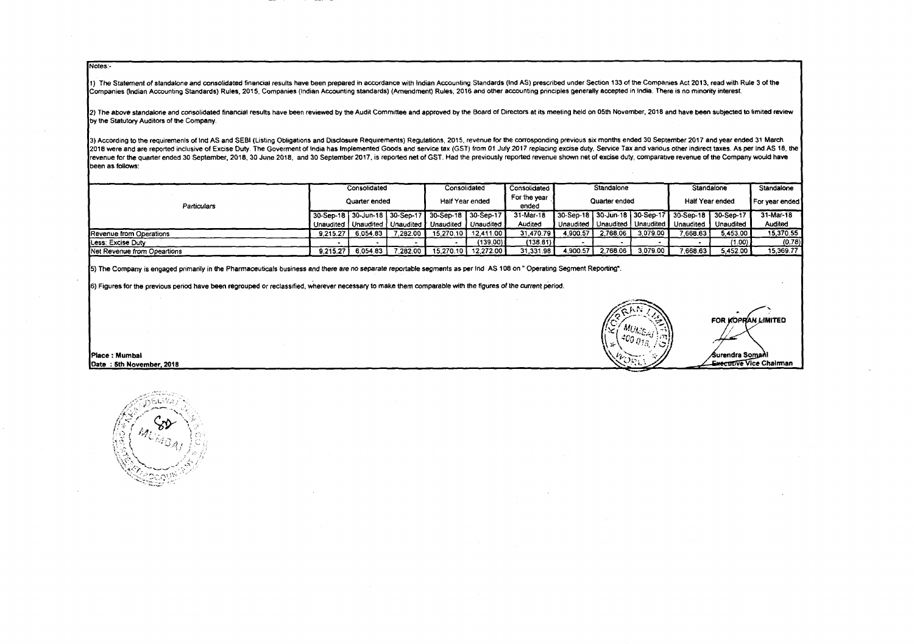Notes:-

1) The Statement of standalone and consolidated financial results have been prepared in accordance with Indian Accounting Standards (Ind AS) prescribed under Section 133 of the Companies Act 2013, read with Rule 3 of the Companies (Indian Accounting Standards) Rules, 2015, Companies (Indian Accounting standards) (Amendment) Rules, 2016 and other accounting principles generally accepted in India. There is no minority interest.

2) The above standalone and consolidated financial results have been reviewed by the Audit Committee and approved by the Board of Directors at its meeting held on 05th November, 2018 and have been subjected to limited revi by the Statutory Auditors of the Company.

3) According to the requiremenls of Ind AS and SEBI (Listing Obligations and Disclosure Requirements) Regulations, 2015, revenue for the corrosponding previous six months ended 30 September 2017 and year ended 31 March 2018 were and are reported inclusive of Excise Duty. The Goverment of India has Implemented Goods and service tax (GST) from 01 July 2017 replacing excise duty. Service Tax and various other indirect taxes. As per Ind AS 1 revenue for the quarter ended 30 September, 2018, 30 June 2018, and 30 September 2017, is reported net of GST. Had the previously reported revenue shown net of excise duty, comparative revenue of the Company would have been as follows:

| <b>Particulars</b>          | Consolidated  |          |                 | Consolidated                                              |                       | Consolidated  | Standalone |                     | Standalone |                                                   | Standalone  |           |
|-----------------------------|---------------|----------|-----------------|-----------------------------------------------------------|-----------------------|---------------|------------|---------------------|------------|---------------------------------------------------|-------------|-----------|
|                             | Quarter ended |          | Half Year ended |                                                           | For the year<br>ended | Quarter ended |            | Half Year ended     |            | For year ended                                    |             |           |
|                             |               |          |                 | 30-Sep-18 30-Jun-18 30-Sep-17 30-Sep-18 30-Sep-17         |                       | 31-Mar-18     |            |                     |            | 30-Sep-18 30-Jun-18 30-Sep-17 30-Sep-18 30-Sep-17 |             | 31-Mar-18 |
|                             |               |          |                 | Unaudited   Unaudited   Unaudited   Unaudited   Unaudited |                       | Audited       |            |                     |            | Unaudited J Unaudited J Unaudited J Unaudited 1   | l Unaudited | Audited   |
| Revenue from Operations     | 9.215.27      | 6.054.83 | 7.282.00        |                                                           | 15.270.10 12.411.00 1 | 31,470.79     |            | 4.900.57   2.768.06 | 3.079.00   | / 668.63                                          | 5.453.00    | 15.370.55 |
| Less: Excise Duty           |               |          |                 |                                                           | (139.00)              | (138.81)      |            |                     |            |                                                   | (1.00)      | (0.78).   |
| Net Revenue from Opeartions | 9.215.27      | 6.054.83 | .282.00         | 15.270.10                                                 | 12.272.00             | 31.331.98     | 4.900.57   | 2.768.06            | 3.079.00   | 7.668.63                                          | 5.452.00    | 15.369.77 |

5) The Company is engaged primarily in the Pharmaceuticals business and there are *no* separate repcrtable segments as per Ind AS 108 on " Operating Segment Reporting".

6) Figures for the previous periOd have been regrouped or reclassified, wherever necessary to make them comparable with the figures of the current period.



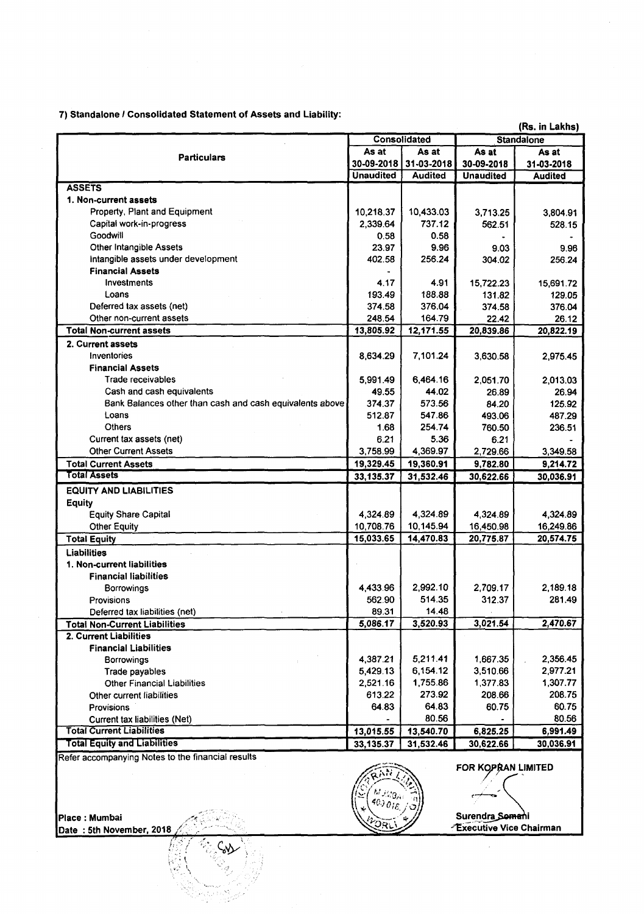7) Standalone / Consolidated Statement of Assets and Liability:

| <b>Standalone</b><br>Consolidated<br>As at<br>As at<br>As at<br>As at<br><b>Particulars</b><br>31-03-2018<br>30-09-2018<br>30-09-2018<br>31-03-2018<br><b>Unaudited</b><br><b>Audited</b><br><b>Unaudited</b><br><b>Audited</b><br><b>ASSETS</b><br>1. Non-current assets<br>Property, Plant and Equipment<br>10,433.03<br>10,218.37<br>3,713.25<br>3,804.91<br>Capital work-in-progress<br>2,339.64<br>737.12<br>562.51<br>Goodwill<br>0.58<br>0.58<br>Other Intangible Assets<br>23.97<br>9.96<br>9.03<br>9.96<br>intangible assets under development<br>256.24<br>402.58<br>304.02<br>256.24<br><b>Financial Assets</b><br>Investments<br>4.91<br>4.17<br>15,722.23<br>15,691.72<br>Loans<br>188.88<br>193.49<br>131.82<br>129.05<br>Deferred tax assets (net)<br>376.04<br>374.58<br>374.58<br>376.04<br>Other non-current assets<br>248.54<br>164.79<br>22.42<br>26.12<br>13,805.92<br>12,171.55<br>20,839.86<br>20,822.19<br><b>Total Non-current assets</b><br>2. Current assets<br>Inventories<br>7,101.24<br>8,634.29<br>3,630.58<br>2,975.45<br><b>Financial Assets</b><br>Trade receivables<br>6,464.16<br>5.991.49<br>2,051.70<br>2,013.03<br>44.02<br>Cash and cash equivalents<br>49.55<br>26.94<br>26.89<br>Bank Balances other than cash and cash equivalents above<br>374.37<br>573.56<br>84.20<br>125.92<br>Loans<br>512.87<br>547.86<br>493.06<br>487.29<br><b>Others</b><br>254.74<br>1.68<br>760.50<br>236.51<br>Current tax assets (net)<br>5.36<br>6.21<br>6.21<br><b>Other Current Assets</b><br>3,758.99<br>4,369.97<br>2,729.66<br>3,349.58<br>19,329.45<br>9,782.80<br><b>Total Current Assets</b><br>19,360.91<br>9,214.72<br>Total Assets<br>33,135.37<br>31,532.46<br>30,622.66<br>30,036.91<br><b>EQUITY AND LIABILITIES</b><br><b>Equity</b><br>4,324.89<br>4,324.89<br><b>Equity Share Capital</b><br>4,324.89<br>4,324.89<br>10,708.76<br>10,145.94<br>16,450.98<br>16,249.86<br><b>Other Equity</b><br>14,470.83<br>20,775.87<br>15,033.65<br>20,574.75<br><b>Total Equity</b><br><b>Liabilities</b><br>1. Non-current liabilities<br><b>Financial liabilities</b><br>2,992.10<br>2,189.18<br>4,433.96<br>2,709.17<br><b>Borrowings</b><br>514.35<br>312.37<br>562.90<br>281.49<br><b>Provisions</b><br>89.31<br>14.48<br>Deferred tax liabilities (net)<br>3,021.54<br>2,470.67<br>5,086.17<br>3,520.93<br><b>Total Non-Current Liabilities</b><br>2. Current Liabilities<br><b>Financial Liabilities</b><br>5,211.41<br>4,387.21<br>1,667.35<br>2,356.45<br>Borrowings<br>5,429.13<br>6,154.12<br>3,510.66<br>2,977.21<br>Trade payables<br>1,755.86<br>1,307.77<br><b>Other Financial Liabilities</b><br>2,521.16<br>1,377.83<br>273.92<br>208.75<br>613.22<br>208.66<br>Other current liabilities<br>64.83<br>60.75<br>60.75<br><b>Provisions</b><br>64.83<br>80.56<br>80.56<br>Current tax liabilities (Net)<br><b>Total Current Liabilities</b><br>13,015.55<br>13,540.70<br>6,825.25<br>6,991.49<br><b>Total Equity and Liabilities</b><br>33, 135.37<br>31,532.46<br>30,622.66<br>30,036.91 | (Rs. in Lakhs) |  |  |        |  |  |  |  |  |
|----------------------------------------------------------------------------------------------------------------------------------------------------------------------------------------------------------------------------------------------------------------------------------------------------------------------------------------------------------------------------------------------------------------------------------------------------------------------------------------------------------------------------------------------------------------------------------------------------------------------------------------------------------------------------------------------------------------------------------------------------------------------------------------------------------------------------------------------------------------------------------------------------------------------------------------------------------------------------------------------------------------------------------------------------------------------------------------------------------------------------------------------------------------------------------------------------------------------------------------------------------------------------------------------------------------------------------------------------------------------------------------------------------------------------------------------------------------------------------------------------------------------------------------------------------------------------------------------------------------------------------------------------------------------------------------------------------------------------------------------------------------------------------------------------------------------------------------------------------------------------------------------------------------------------------------------------------------------------------------------------------------------------------------------------------------------------------------------------------------------------------------------------------------------------------------------------------------------------------------------------------------------------------------------------------------------------------------------------------------------------------------------------------------------------------------------------------------------------------------------------------------------------------------------------------------------------------------------------------------------------------------------------------------------------------------------------------------------------------------------------------------------------------------------------------------------------------------------------------------------------------------------------------------------------------------------------------------------------------------------------------------------------------------|----------------|--|--|--------|--|--|--|--|--|
|                                                                                                                                                                                                                                                                                                                                                                                                                                                                                                                                                                                                                                                                                                                                                                                                                                                                                                                                                                                                                                                                                                                                                                                                                                                                                                                                                                                                                                                                                                                                                                                                                                                                                                                                                                                                                                                                                                                                                                                                                                                                                                                                                                                                                                                                                                                                                                                                                                                                                                                                                                                                                                                                                                                                                                                                                                                                                                                                                                                                                                        |                |  |  |        |  |  |  |  |  |
|                                                                                                                                                                                                                                                                                                                                                                                                                                                                                                                                                                                                                                                                                                                                                                                                                                                                                                                                                                                                                                                                                                                                                                                                                                                                                                                                                                                                                                                                                                                                                                                                                                                                                                                                                                                                                                                                                                                                                                                                                                                                                                                                                                                                                                                                                                                                                                                                                                                                                                                                                                                                                                                                                                                                                                                                                                                                                                                                                                                                                                        |                |  |  |        |  |  |  |  |  |
|                                                                                                                                                                                                                                                                                                                                                                                                                                                                                                                                                                                                                                                                                                                                                                                                                                                                                                                                                                                                                                                                                                                                                                                                                                                                                                                                                                                                                                                                                                                                                                                                                                                                                                                                                                                                                                                                                                                                                                                                                                                                                                                                                                                                                                                                                                                                                                                                                                                                                                                                                                                                                                                                                                                                                                                                                                                                                                                                                                                                                                        |                |  |  |        |  |  |  |  |  |
|                                                                                                                                                                                                                                                                                                                                                                                                                                                                                                                                                                                                                                                                                                                                                                                                                                                                                                                                                                                                                                                                                                                                                                                                                                                                                                                                                                                                                                                                                                                                                                                                                                                                                                                                                                                                                                                                                                                                                                                                                                                                                                                                                                                                                                                                                                                                                                                                                                                                                                                                                                                                                                                                                                                                                                                                                                                                                                                                                                                                                                        |                |  |  |        |  |  |  |  |  |
|                                                                                                                                                                                                                                                                                                                                                                                                                                                                                                                                                                                                                                                                                                                                                                                                                                                                                                                                                                                                                                                                                                                                                                                                                                                                                                                                                                                                                                                                                                                                                                                                                                                                                                                                                                                                                                                                                                                                                                                                                                                                                                                                                                                                                                                                                                                                                                                                                                                                                                                                                                                                                                                                                                                                                                                                                                                                                                                                                                                                                                        |                |  |  |        |  |  |  |  |  |
|                                                                                                                                                                                                                                                                                                                                                                                                                                                                                                                                                                                                                                                                                                                                                                                                                                                                                                                                                                                                                                                                                                                                                                                                                                                                                                                                                                                                                                                                                                                                                                                                                                                                                                                                                                                                                                                                                                                                                                                                                                                                                                                                                                                                                                                                                                                                                                                                                                                                                                                                                                                                                                                                                                                                                                                                                                                                                                                                                                                                                                        |                |  |  |        |  |  |  |  |  |
|                                                                                                                                                                                                                                                                                                                                                                                                                                                                                                                                                                                                                                                                                                                                                                                                                                                                                                                                                                                                                                                                                                                                                                                                                                                                                                                                                                                                                                                                                                                                                                                                                                                                                                                                                                                                                                                                                                                                                                                                                                                                                                                                                                                                                                                                                                                                                                                                                                                                                                                                                                                                                                                                                                                                                                                                                                                                                                                                                                                                                                        |                |  |  |        |  |  |  |  |  |
|                                                                                                                                                                                                                                                                                                                                                                                                                                                                                                                                                                                                                                                                                                                                                                                                                                                                                                                                                                                                                                                                                                                                                                                                                                                                                                                                                                                                                                                                                                                                                                                                                                                                                                                                                                                                                                                                                                                                                                                                                                                                                                                                                                                                                                                                                                                                                                                                                                                                                                                                                                                                                                                                                                                                                                                                                                                                                                                                                                                                                                        |                |  |  | 528.15 |  |  |  |  |  |
|                                                                                                                                                                                                                                                                                                                                                                                                                                                                                                                                                                                                                                                                                                                                                                                                                                                                                                                                                                                                                                                                                                                                                                                                                                                                                                                                                                                                                                                                                                                                                                                                                                                                                                                                                                                                                                                                                                                                                                                                                                                                                                                                                                                                                                                                                                                                                                                                                                                                                                                                                                                                                                                                                                                                                                                                                                                                                                                                                                                                                                        |                |  |  |        |  |  |  |  |  |
|                                                                                                                                                                                                                                                                                                                                                                                                                                                                                                                                                                                                                                                                                                                                                                                                                                                                                                                                                                                                                                                                                                                                                                                                                                                                                                                                                                                                                                                                                                                                                                                                                                                                                                                                                                                                                                                                                                                                                                                                                                                                                                                                                                                                                                                                                                                                                                                                                                                                                                                                                                                                                                                                                                                                                                                                                                                                                                                                                                                                                                        |                |  |  |        |  |  |  |  |  |
|                                                                                                                                                                                                                                                                                                                                                                                                                                                                                                                                                                                                                                                                                                                                                                                                                                                                                                                                                                                                                                                                                                                                                                                                                                                                                                                                                                                                                                                                                                                                                                                                                                                                                                                                                                                                                                                                                                                                                                                                                                                                                                                                                                                                                                                                                                                                                                                                                                                                                                                                                                                                                                                                                                                                                                                                                                                                                                                                                                                                                                        |                |  |  |        |  |  |  |  |  |
|                                                                                                                                                                                                                                                                                                                                                                                                                                                                                                                                                                                                                                                                                                                                                                                                                                                                                                                                                                                                                                                                                                                                                                                                                                                                                                                                                                                                                                                                                                                                                                                                                                                                                                                                                                                                                                                                                                                                                                                                                                                                                                                                                                                                                                                                                                                                                                                                                                                                                                                                                                                                                                                                                                                                                                                                                                                                                                                                                                                                                                        |                |  |  |        |  |  |  |  |  |
|                                                                                                                                                                                                                                                                                                                                                                                                                                                                                                                                                                                                                                                                                                                                                                                                                                                                                                                                                                                                                                                                                                                                                                                                                                                                                                                                                                                                                                                                                                                                                                                                                                                                                                                                                                                                                                                                                                                                                                                                                                                                                                                                                                                                                                                                                                                                                                                                                                                                                                                                                                                                                                                                                                                                                                                                                                                                                                                                                                                                                                        |                |  |  |        |  |  |  |  |  |
|                                                                                                                                                                                                                                                                                                                                                                                                                                                                                                                                                                                                                                                                                                                                                                                                                                                                                                                                                                                                                                                                                                                                                                                                                                                                                                                                                                                                                                                                                                                                                                                                                                                                                                                                                                                                                                                                                                                                                                                                                                                                                                                                                                                                                                                                                                                                                                                                                                                                                                                                                                                                                                                                                                                                                                                                                                                                                                                                                                                                                                        |                |  |  |        |  |  |  |  |  |
|                                                                                                                                                                                                                                                                                                                                                                                                                                                                                                                                                                                                                                                                                                                                                                                                                                                                                                                                                                                                                                                                                                                                                                                                                                                                                                                                                                                                                                                                                                                                                                                                                                                                                                                                                                                                                                                                                                                                                                                                                                                                                                                                                                                                                                                                                                                                                                                                                                                                                                                                                                                                                                                                                                                                                                                                                                                                                                                                                                                                                                        |                |  |  |        |  |  |  |  |  |
|                                                                                                                                                                                                                                                                                                                                                                                                                                                                                                                                                                                                                                                                                                                                                                                                                                                                                                                                                                                                                                                                                                                                                                                                                                                                                                                                                                                                                                                                                                                                                                                                                                                                                                                                                                                                                                                                                                                                                                                                                                                                                                                                                                                                                                                                                                                                                                                                                                                                                                                                                                                                                                                                                                                                                                                                                                                                                                                                                                                                                                        |                |  |  |        |  |  |  |  |  |
|                                                                                                                                                                                                                                                                                                                                                                                                                                                                                                                                                                                                                                                                                                                                                                                                                                                                                                                                                                                                                                                                                                                                                                                                                                                                                                                                                                                                                                                                                                                                                                                                                                                                                                                                                                                                                                                                                                                                                                                                                                                                                                                                                                                                                                                                                                                                                                                                                                                                                                                                                                                                                                                                                                                                                                                                                                                                                                                                                                                                                                        |                |  |  |        |  |  |  |  |  |
|                                                                                                                                                                                                                                                                                                                                                                                                                                                                                                                                                                                                                                                                                                                                                                                                                                                                                                                                                                                                                                                                                                                                                                                                                                                                                                                                                                                                                                                                                                                                                                                                                                                                                                                                                                                                                                                                                                                                                                                                                                                                                                                                                                                                                                                                                                                                                                                                                                                                                                                                                                                                                                                                                                                                                                                                                                                                                                                                                                                                                                        |                |  |  |        |  |  |  |  |  |
|                                                                                                                                                                                                                                                                                                                                                                                                                                                                                                                                                                                                                                                                                                                                                                                                                                                                                                                                                                                                                                                                                                                                                                                                                                                                                                                                                                                                                                                                                                                                                                                                                                                                                                                                                                                                                                                                                                                                                                                                                                                                                                                                                                                                                                                                                                                                                                                                                                                                                                                                                                                                                                                                                                                                                                                                                                                                                                                                                                                                                                        |                |  |  |        |  |  |  |  |  |
|                                                                                                                                                                                                                                                                                                                                                                                                                                                                                                                                                                                                                                                                                                                                                                                                                                                                                                                                                                                                                                                                                                                                                                                                                                                                                                                                                                                                                                                                                                                                                                                                                                                                                                                                                                                                                                                                                                                                                                                                                                                                                                                                                                                                                                                                                                                                                                                                                                                                                                                                                                                                                                                                                                                                                                                                                                                                                                                                                                                                                                        |                |  |  |        |  |  |  |  |  |
|                                                                                                                                                                                                                                                                                                                                                                                                                                                                                                                                                                                                                                                                                                                                                                                                                                                                                                                                                                                                                                                                                                                                                                                                                                                                                                                                                                                                                                                                                                                                                                                                                                                                                                                                                                                                                                                                                                                                                                                                                                                                                                                                                                                                                                                                                                                                                                                                                                                                                                                                                                                                                                                                                                                                                                                                                                                                                                                                                                                                                                        |                |  |  |        |  |  |  |  |  |
|                                                                                                                                                                                                                                                                                                                                                                                                                                                                                                                                                                                                                                                                                                                                                                                                                                                                                                                                                                                                                                                                                                                                                                                                                                                                                                                                                                                                                                                                                                                                                                                                                                                                                                                                                                                                                                                                                                                                                                                                                                                                                                                                                                                                                                                                                                                                                                                                                                                                                                                                                                                                                                                                                                                                                                                                                                                                                                                                                                                                                                        |                |  |  |        |  |  |  |  |  |
|                                                                                                                                                                                                                                                                                                                                                                                                                                                                                                                                                                                                                                                                                                                                                                                                                                                                                                                                                                                                                                                                                                                                                                                                                                                                                                                                                                                                                                                                                                                                                                                                                                                                                                                                                                                                                                                                                                                                                                                                                                                                                                                                                                                                                                                                                                                                                                                                                                                                                                                                                                                                                                                                                                                                                                                                                                                                                                                                                                                                                                        |                |  |  |        |  |  |  |  |  |
|                                                                                                                                                                                                                                                                                                                                                                                                                                                                                                                                                                                                                                                                                                                                                                                                                                                                                                                                                                                                                                                                                                                                                                                                                                                                                                                                                                                                                                                                                                                                                                                                                                                                                                                                                                                                                                                                                                                                                                                                                                                                                                                                                                                                                                                                                                                                                                                                                                                                                                                                                                                                                                                                                                                                                                                                                                                                                                                                                                                                                                        |                |  |  |        |  |  |  |  |  |
|                                                                                                                                                                                                                                                                                                                                                                                                                                                                                                                                                                                                                                                                                                                                                                                                                                                                                                                                                                                                                                                                                                                                                                                                                                                                                                                                                                                                                                                                                                                                                                                                                                                                                                                                                                                                                                                                                                                                                                                                                                                                                                                                                                                                                                                                                                                                                                                                                                                                                                                                                                                                                                                                                                                                                                                                                                                                                                                                                                                                                                        |                |  |  |        |  |  |  |  |  |
|                                                                                                                                                                                                                                                                                                                                                                                                                                                                                                                                                                                                                                                                                                                                                                                                                                                                                                                                                                                                                                                                                                                                                                                                                                                                                                                                                                                                                                                                                                                                                                                                                                                                                                                                                                                                                                                                                                                                                                                                                                                                                                                                                                                                                                                                                                                                                                                                                                                                                                                                                                                                                                                                                                                                                                                                                                                                                                                                                                                                                                        |                |  |  |        |  |  |  |  |  |
|                                                                                                                                                                                                                                                                                                                                                                                                                                                                                                                                                                                                                                                                                                                                                                                                                                                                                                                                                                                                                                                                                                                                                                                                                                                                                                                                                                                                                                                                                                                                                                                                                                                                                                                                                                                                                                                                                                                                                                                                                                                                                                                                                                                                                                                                                                                                                                                                                                                                                                                                                                                                                                                                                                                                                                                                                                                                                                                                                                                                                                        |                |  |  |        |  |  |  |  |  |
|                                                                                                                                                                                                                                                                                                                                                                                                                                                                                                                                                                                                                                                                                                                                                                                                                                                                                                                                                                                                                                                                                                                                                                                                                                                                                                                                                                                                                                                                                                                                                                                                                                                                                                                                                                                                                                                                                                                                                                                                                                                                                                                                                                                                                                                                                                                                                                                                                                                                                                                                                                                                                                                                                                                                                                                                                                                                                                                                                                                                                                        |                |  |  |        |  |  |  |  |  |
|                                                                                                                                                                                                                                                                                                                                                                                                                                                                                                                                                                                                                                                                                                                                                                                                                                                                                                                                                                                                                                                                                                                                                                                                                                                                                                                                                                                                                                                                                                                                                                                                                                                                                                                                                                                                                                                                                                                                                                                                                                                                                                                                                                                                                                                                                                                                                                                                                                                                                                                                                                                                                                                                                                                                                                                                                                                                                                                                                                                                                                        |                |  |  |        |  |  |  |  |  |
|                                                                                                                                                                                                                                                                                                                                                                                                                                                                                                                                                                                                                                                                                                                                                                                                                                                                                                                                                                                                                                                                                                                                                                                                                                                                                                                                                                                                                                                                                                                                                                                                                                                                                                                                                                                                                                                                                                                                                                                                                                                                                                                                                                                                                                                                                                                                                                                                                                                                                                                                                                                                                                                                                                                                                                                                                                                                                                                                                                                                                                        |                |  |  |        |  |  |  |  |  |
|                                                                                                                                                                                                                                                                                                                                                                                                                                                                                                                                                                                                                                                                                                                                                                                                                                                                                                                                                                                                                                                                                                                                                                                                                                                                                                                                                                                                                                                                                                                                                                                                                                                                                                                                                                                                                                                                                                                                                                                                                                                                                                                                                                                                                                                                                                                                                                                                                                                                                                                                                                                                                                                                                                                                                                                                                                                                                                                                                                                                                                        |                |  |  |        |  |  |  |  |  |
|                                                                                                                                                                                                                                                                                                                                                                                                                                                                                                                                                                                                                                                                                                                                                                                                                                                                                                                                                                                                                                                                                                                                                                                                                                                                                                                                                                                                                                                                                                                                                                                                                                                                                                                                                                                                                                                                                                                                                                                                                                                                                                                                                                                                                                                                                                                                                                                                                                                                                                                                                                                                                                                                                                                                                                                                                                                                                                                                                                                                                                        |                |  |  |        |  |  |  |  |  |
|                                                                                                                                                                                                                                                                                                                                                                                                                                                                                                                                                                                                                                                                                                                                                                                                                                                                                                                                                                                                                                                                                                                                                                                                                                                                                                                                                                                                                                                                                                                                                                                                                                                                                                                                                                                                                                                                                                                                                                                                                                                                                                                                                                                                                                                                                                                                                                                                                                                                                                                                                                                                                                                                                                                                                                                                                                                                                                                                                                                                                                        |                |  |  |        |  |  |  |  |  |
|                                                                                                                                                                                                                                                                                                                                                                                                                                                                                                                                                                                                                                                                                                                                                                                                                                                                                                                                                                                                                                                                                                                                                                                                                                                                                                                                                                                                                                                                                                                                                                                                                                                                                                                                                                                                                                                                                                                                                                                                                                                                                                                                                                                                                                                                                                                                                                                                                                                                                                                                                                                                                                                                                                                                                                                                                                                                                                                                                                                                                                        |                |  |  |        |  |  |  |  |  |
|                                                                                                                                                                                                                                                                                                                                                                                                                                                                                                                                                                                                                                                                                                                                                                                                                                                                                                                                                                                                                                                                                                                                                                                                                                                                                                                                                                                                                                                                                                                                                                                                                                                                                                                                                                                                                                                                                                                                                                                                                                                                                                                                                                                                                                                                                                                                                                                                                                                                                                                                                                                                                                                                                                                                                                                                                                                                                                                                                                                                                                        |                |  |  |        |  |  |  |  |  |
|                                                                                                                                                                                                                                                                                                                                                                                                                                                                                                                                                                                                                                                                                                                                                                                                                                                                                                                                                                                                                                                                                                                                                                                                                                                                                                                                                                                                                                                                                                                                                                                                                                                                                                                                                                                                                                                                                                                                                                                                                                                                                                                                                                                                                                                                                                                                                                                                                                                                                                                                                                                                                                                                                                                                                                                                                                                                                                                                                                                                                                        |                |  |  |        |  |  |  |  |  |
|                                                                                                                                                                                                                                                                                                                                                                                                                                                                                                                                                                                                                                                                                                                                                                                                                                                                                                                                                                                                                                                                                                                                                                                                                                                                                                                                                                                                                                                                                                                                                                                                                                                                                                                                                                                                                                                                                                                                                                                                                                                                                                                                                                                                                                                                                                                                                                                                                                                                                                                                                                                                                                                                                                                                                                                                                                                                                                                                                                                                                                        |                |  |  |        |  |  |  |  |  |
|                                                                                                                                                                                                                                                                                                                                                                                                                                                                                                                                                                                                                                                                                                                                                                                                                                                                                                                                                                                                                                                                                                                                                                                                                                                                                                                                                                                                                                                                                                                                                                                                                                                                                                                                                                                                                                                                                                                                                                                                                                                                                                                                                                                                                                                                                                                                                                                                                                                                                                                                                                                                                                                                                                                                                                                                                                                                                                                                                                                                                                        |                |  |  |        |  |  |  |  |  |
|                                                                                                                                                                                                                                                                                                                                                                                                                                                                                                                                                                                                                                                                                                                                                                                                                                                                                                                                                                                                                                                                                                                                                                                                                                                                                                                                                                                                                                                                                                                                                                                                                                                                                                                                                                                                                                                                                                                                                                                                                                                                                                                                                                                                                                                                                                                                                                                                                                                                                                                                                                                                                                                                                                                                                                                                                                                                                                                                                                                                                                        |                |  |  |        |  |  |  |  |  |
|                                                                                                                                                                                                                                                                                                                                                                                                                                                                                                                                                                                                                                                                                                                                                                                                                                                                                                                                                                                                                                                                                                                                                                                                                                                                                                                                                                                                                                                                                                                                                                                                                                                                                                                                                                                                                                                                                                                                                                                                                                                                                                                                                                                                                                                                                                                                                                                                                                                                                                                                                                                                                                                                                                                                                                                                                                                                                                                                                                                                                                        |                |  |  |        |  |  |  |  |  |
|                                                                                                                                                                                                                                                                                                                                                                                                                                                                                                                                                                                                                                                                                                                                                                                                                                                                                                                                                                                                                                                                                                                                                                                                                                                                                                                                                                                                                                                                                                                                                                                                                                                                                                                                                                                                                                                                                                                                                                                                                                                                                                                                                                                                                                                                                                                                                                                                                                                                                                                                                                                                                                                                                                                                                                                                                                                                                                                                                                                                                                        |                |  |  |        |  |  |  |  |  |
|                                                                                                                                                                                                                                                                                                                                                                                                                                                                                                                                                                                                                                                                                                                                                                                                                                                                                                                                                                                                                                                                                                                                                                                                                                                                                                                                                                                                                                                                                                                                                                                                                                                                                                                                                                                                                                                                                                                                                                                                                                                                                                                                                                                                                                                                                                                                                                                                                                                                                                                                                                                                                                                                                                                                                                                                                                                                                                                                                                                                                                        |                |  |  |        |  |  |  |  |  |
|                                                                                                                                                                                                                                                                                                                                                                                                                                                                                                                                                                                                                                                                                                                                                                                                                                                                                                                                                                                                                                                                                                                                                                                                                                                                                                                                                                                                                                                                                                                                                                                                                                                                                                                                                                                                                                                                                                                                                                                                                                                                                                                                                                                                                                                                                                                                                                                                                                                                                                                                                                                                                                                                                                                                                                                                                                                                                                                                                                                                                                        |                |  |  |        |  |  |  |  |  |
|                                                                                                                                                                                                                                                                                                                                                                                                                                                                                                                                                                                                                                                                                                                                                                                                                                                                                                                                                                                                                                                                                                                                                                                                                                                                                                                                                                                                                                                                                                                                                                                                                                                                                                                                                                                                                                                                                                                                                                                                                                                                                                                                                                                                                                                                                                                                                                                                                                                                                                                                                                                                                                                                                                                                                                                                                                                                                                                                                                                                                                        |                |  |  |        |  |  |  |  |  |
|                                                                                                                                                                                                                                                                                                                                                                                                                                                                                                                                                                                                                                                                                                                                                                                                                                                                                                                                                                                                                                                                                                                                                                                                                                                                                                                                                                                                                                                                                                                                                                                                                                                                                                                                                                                                                                                                                                                                                                                                                                                                                                                                                                                                                                                                                                                                                                                                                                                                                                                                                                                                                                                                                                                                                                                                                                                                                                                                                                                                                                        |                |  |  |        |  |  |  |  |  |
|                                                                                                                                                                                                                                                                                                                                                                                                                                                                                                                                                                                                                                                                                                                                                                                                                                                                                                                                                                                                                                                                                                                                                                                                                                                                                                                                                                                                                                                                                                                                                                                                                                                                                                                                                                                                                                                                                                                                                                                                                                                                                                                                                                                                                                                                                                                                                                                                                                                                                                                                                                                                                                                                                                                                                                                                                                                                                                                                                                                                                                        |                |  |  |        |  |  |  |  |  |
|                                                                                                                                                                                                                                                                                                                                                                                                                                                                                                                                                                                                                                                                                                                                                                                                                                                                                                                                                                                                                                                                                                                                                                                                                                                                                                                                                                                                                                                                                                                                                                                                                                                                                                                                                                                                                                                                                                                                                                                                                                                                                                                                                                                                                                                                                                                                                                                                                                                                                                                                                                                                                                                                                                                                                                                                                                                                                                                                                                                                                                        |                |  |  |        |  |  |  |  |  |
|                                                                                                                                                                                                                                                                                                                                                                                                                                                                                                                                                                                                                                                                                                                                                                                                                                                                                                                                                                                                                                                                                                                                                                                                                                                                                                                                                                                                                                                                                                                                                                                                                                                                                                                                                                                                                                                                                                                                                                                                                                                                                                                                                                                                                                                                                                                                                                                                                                                                                                                                                                                                                                                                                                                                                                                                                                                                                                                                                                                                                                        |                |  |  |        |  |  |  |  |  |
|                                                                                                                                                                                                                                                                                                                                                                                                                                                                                                                                                                                                                                                                                                                                                                                                                                                                                                                                                                                                                                                                                                                                                                                                                                                                                                                                                                                                                                                                                                                                                                                                                                                                                                                                                                                                                                                                                                                                                                                                                                                                                                                                                                                                                                                                                                                                                                                                                                                                                                                                                                                                                                                                                                                                                                                                                                                                                                                                                                                                                                        |                |  |  |        |  |  |  |  |  |
|                                                                                                                                                                                                                                                                                                                                                                                                                                                                                                                                                                                                                                                                                                                                                                                                                                                                                                                                                                                                                                                                                                                                                                                                                                                                                                                                                                                                                                                                                                                                                                                                                                                                                                                                                                                                                                                                                                                                                                                                                                                                                                                                                                                                                                                                                                                                                                                                                                                                                                                                                                                                                                                                                                                                                                                                                                                                                                                                                                                                                                        |                |  |  |        |  |  |  |  |  |
|                                                                                                                                                                                                                                                                                                                                                                                                                                                                                                                                                                                                                                                                                                                                                                                                                                                                                                                                                                                                                                                                                                                                                                                                                                                                                                                                                                                                                                                                                                                                                                                                                                                                                                                                                                                                                                                                                                                                                                                                                                                                                                                                                                                                                                                                                                                                                                                                                                                                                                                                                                                                                                                                                                                                                                                                                                                                                                                                                                                                                                        |                |  |  |        |  |  |  |  |  |

Refer accompanying Notes to the financial results

~ ', ":/ < *!* .  $\ddot{\phantom{a}}$  $\le \Delta$ 

.

 $\mathfrak{c}$ 



**FOR KOPRAN LIMITED** 

Surendra Somani **Executive Vice Chairman** 

Place : Mumbai Date : 5th November, 2018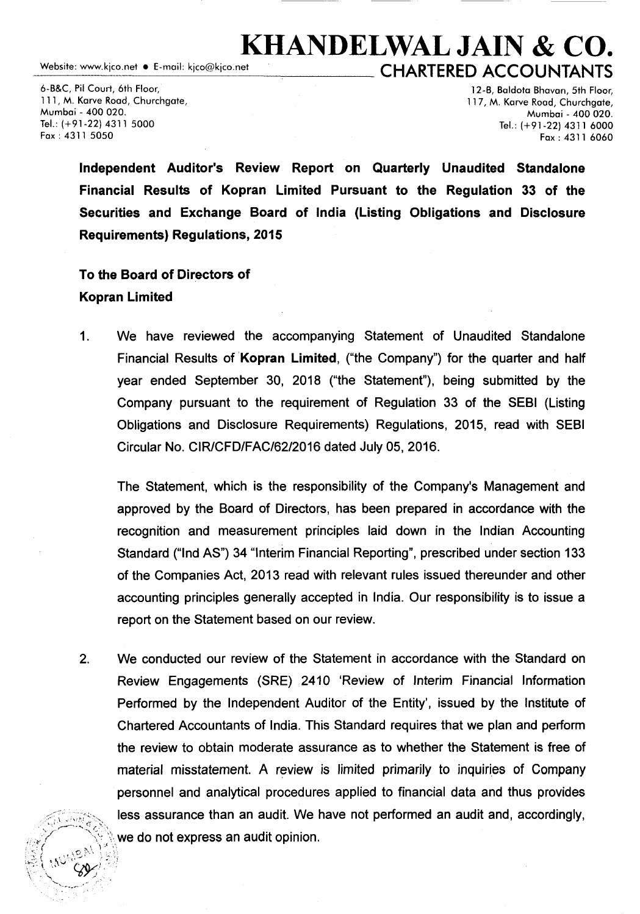## Website: www.kico.net • E-mail: kico@kico.net<br>CHAPTEPED ACCOUNTANTS  $\_$  CHARTERED ACCOUNTANTS

6-B&C, Pil Court, 6th Floor, 111, M. Karve Road, Churchgate, Mumbai - 400 020. Tel.: (+91-22) 4311 5000 Fax: 4311 5050

12-B, Baldota Bhavan, 5th Floor, 117, M. Karve Road, Churchgate, Mumbai - 400 020. Tel.: (+91-22) 4311 6000 Fax: 4311 6060

Independent Auditor's Review Report on Quarterly Unaudited Standalone Financial Results of Kopran Limited Pursuant to the Regulation 33 of the Securities and Exchange Board of India (Listing Obligations and Disclosure Requirements) Regulations, 2015

## To the Board of Directors of Kopran Limited

1. We have reviewed the accompanying Statement of Unaudited Standalone Financial Results of Kopran Limited, ("the Company") for the quarter and half year ended September 30, 2018 ("the Statement"), being submitted by the Company pursuant to the requirement of Regulation 33 of the SEBI (Listing Obligations and Disclosure Requirements) Regulations, 2015, read with SEBI Circular No. CIR/CFD/FAC/62/2016 dated July 05, 2016.

The Statement, which is the responsibility of the Company's Management and approved by the Board of Directors, has been prepared in accordance with the recognition and measurement principles laid down in the Indian Accounting Standard ("Ind AS") 34 "Interim Financial Reporting", prescribed under section 133 of the Companies Act, 2013 read with relevant rules issued thereunder and other accounting principles generally accepted in India. Our responsibility is to issue a report on the Statement based on our review.

2. We conducted our review of the Statement in accordance with the Standard on Review Engagements (SRE) 2410 'Review of Interim Financial Information Performed by the Independent Auditor of the Entity', issued by the Institute of Chartered Accountants of India. This Standard requires that we plan and perform the review to obtain moderate assurance as to whether the Statement is free of material misstatement. A review is limited primarily to inquiries of Company personnel and analytical procedures applied to financial data and thus provides less assurance than an audit. We have not performed an audit and, accordingly, we do not express an audit opinion.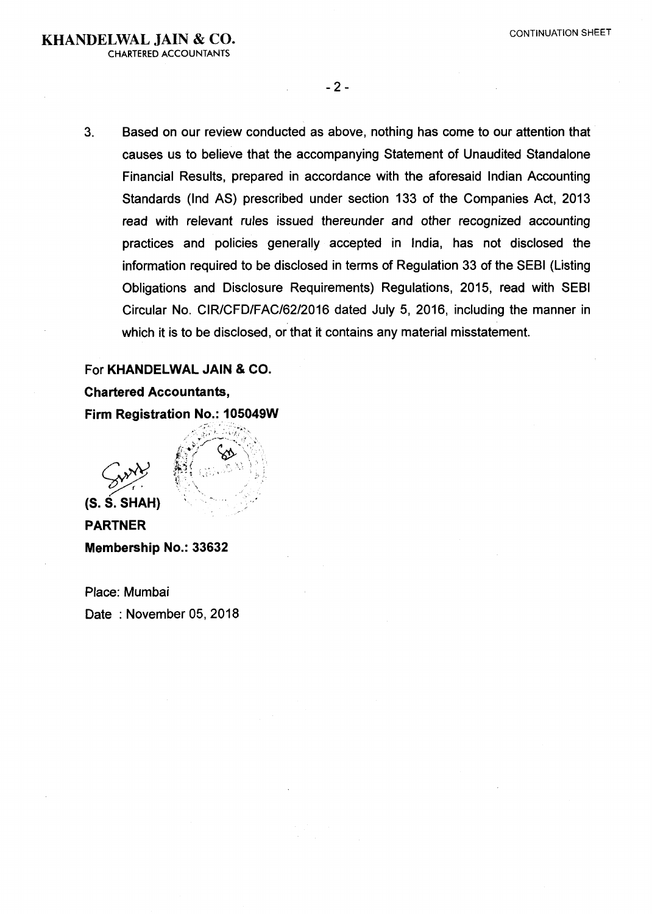CHARTERED ACCOUNTANTS

- 2 -

3. Based on our review conducted as above, nothing has come to our attention that causes us to believe that the accompanying Statement of Unaudited Standalone Financial Results, prepared in accordance with the aforesaid Indian Accounting Standards (Ind AS) prescribed under section 133 of the Companies Act, 2013 read with relevant rules issued thereunder and other recognized accounting practices and policies generally accepted in India, has not disclosed the information required to be disclosed in terms of Regulation 33 of the SEBI (Listing Obligations and Disclosure Requirements) Regulations, 2015, read with SEBI Circular No. CIR/CFD/FAC/62/2016 dated July 5, 2016, including the manner in which it is to be disclosed, or that it contains any material misstatement.

For KHANDELWAL JAIN & CO. Chartered Accountants, Firm Registration No.: 105049W

Gund

(S.S. SHAH) PARTNER Membership No.: 33632

Place: Mumbai Date : November 05, 2018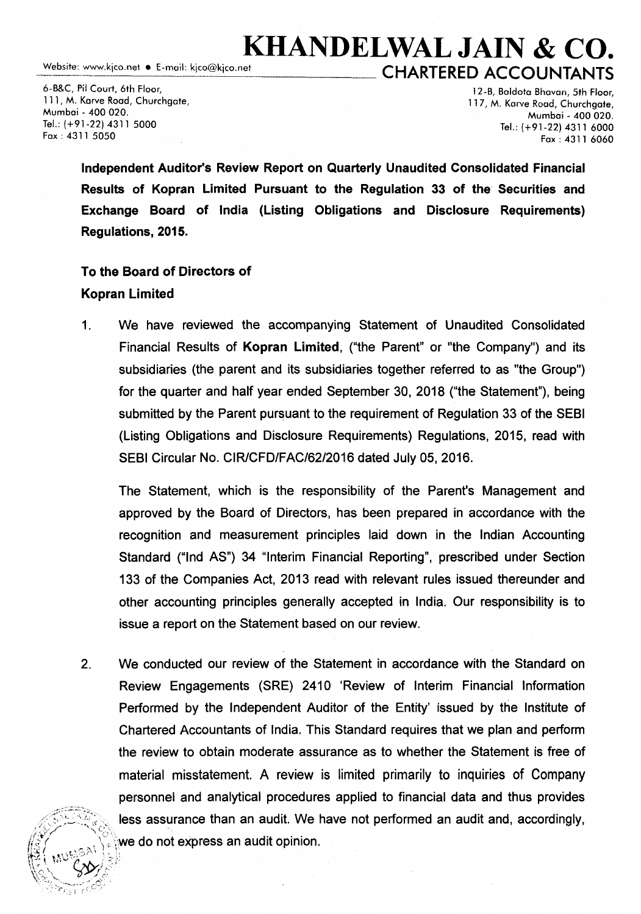Website: www.kjco.net • E-mail: kjco@kjco.net

## KHANDELWAL JAIN & CO. CHARTERED ACCOUNTANTS

6-B&C, Pil Court, 6th Floor, 111, M. Karve Road, Churchgate, Mumbai - *400* 020. Tel.: (+91-22) 4311 5000 Fax: 4311 5050

 $\mathscr{C}$   $\rightarrow$  $\mathbb{R}\rightarrow\mathbb{Z}$ 

12-B, Boldoto Bhavon, 5th Floor, 117, M. Karve Road, Churchgate, Mumbai - *400* 020. Tel.:  $(+91-22)$  4311 6000 Fax: 4311 6060

Independent Auditor's Review Report on Quarterly Unaudited Consolidated Financial Results of Kopran Limited Pursuant to the Regulation 33 of the Securities and Exchange Board of India (Listing Obligations and Disclosure Requirements) Regulations, 2015.

## To the Board of Directors of Kopran Limited

1. We have reviewed the accompanying Statement of Unaudited Consolidated Financial Results of Kopran Limited, ("the Parent" or "the Company") and its subsidiaries (the parent and its subsidiaries together referred to as "the Group") for the quarter and half year ended September 30, 2018 ("the Statement"), being submitted by the Parent pursuant to the requirement of Regulation 33 of the SEBI (Listing Obligations and Disclosure Requirements) Regulations, 2015, read with SEBI Circular No. CIR/CFD/FAC/62/2016 dated July 05, 2016.

The Statement, which is the responsibility of the Parent's Management and approved by the Board of Directors, has been prepared in accordance with the recognition and measurement principles laid down in the Indian Accounting Standard ("Ind AS") 34 "Interim Financial Reporting", prescribed under Section 133 of the Companies Act, 2013 read with relevant rules issued thereunder and other accounting principles generally accepted in India. Our responsibility is to issue a report on the Statement based on our review.

2. We conducted our review of the Statement in accordance with the Standard on Review Engagements (SRE) 2410 'Review of Interim Financial Information Performed by the Independent Auditor of the Entity' issued by the Institute of Chartered Accountants of India. This Standard requires that we plan and perform the review to obtain moderate assurance as to whether the Statement is free of material misstatement. A review is limited primarily to inquiries of Company personnel and analytical procedures applied to financial data and thus provides less assurance than an audit. We have not performed an audit and, accordingly, we do not express an audit opinion.  $\mathbb{E}\left(\begin{smallmatrix} w & w \end{smallmatrix} \right)$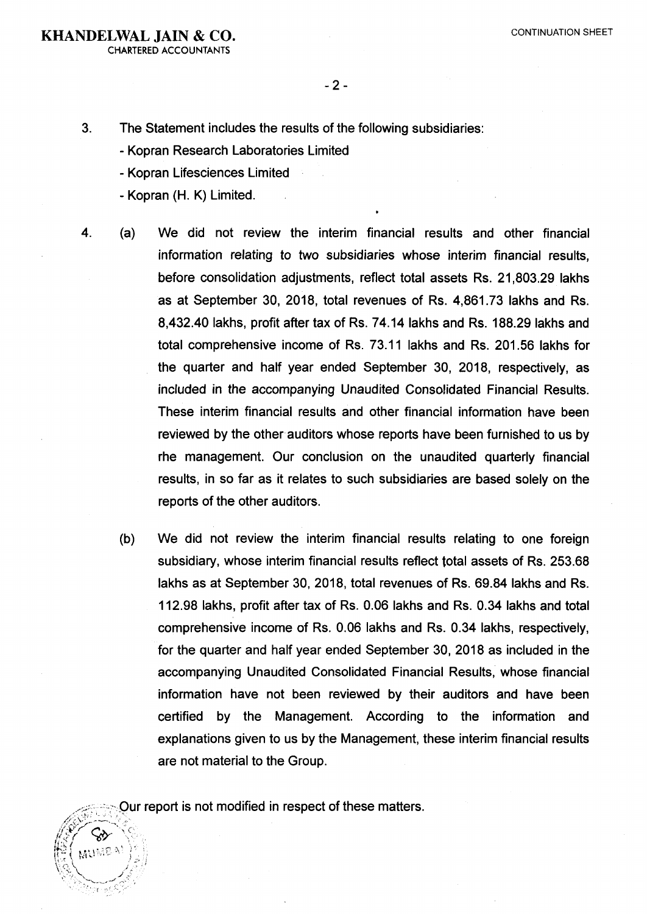CHARTERED ACCOUNTANTS

 $-2 -$ 

3. The Statement includes the results of the following subsidiaries:

- Kopran Research Laboratories Limited
- Kopran Lifesciences Limited
- Kopran (H. K) Limited.
- 4. (a) We did not review the interim financial results and other financial information relating to two subsidiaries whose interim financial results, before consolidation adjustments, reflect total assets Rs. 21,803.29 lakhs as at September 30, 2018, total revenues of Rs. 4,861. 73 lakhs and Rs. 8,432.40 lakhs, profit after tax of Rs. 74.14 lakhs and Rs. 188.29 lakhs and total comprehensive income of Rs. 73.11 lakhs and Rs. 201.56 lakhs for the quarter and half year ended September 30, 2018, respectively, as included in the accompanying Unaudited Consolidated Financial Results. These interim financial results and other financial information have been reviewed by the other auditors whose reports have been furnished to us by rhe management. Our conclusion on the unaudited quarterly financial results, in so far as it relates to such subsidiaries are based solely on the reports of the other auditors.
	- (b) We did not review the interim financial results relating to one foreign subsidiary, whose interim financial results reflect total assets of Rs. 253.68 lakhs as at September 30, 2018, total revenues of Rs. 69.84 lakhs and Rs. 112.98 lakhs, profit after tax of Rs. 0.06 lakhs and Rs. 0.34 lakhs and total comprehensive income of Rs. 0.06 lakhs and Rs. 0.34 lakhs, respectively, for the quarter and half year ended September 30, 2018 as included in the accompanying Unaudited Consolidated Financial Results, whose financial information have not been reviewed by their auditors and have been certified by the Management. According to the information and explanations given to us by the Management, these interim financial results are not material to the Group.

Our report is not modified in respect of these matters.

AUMEA